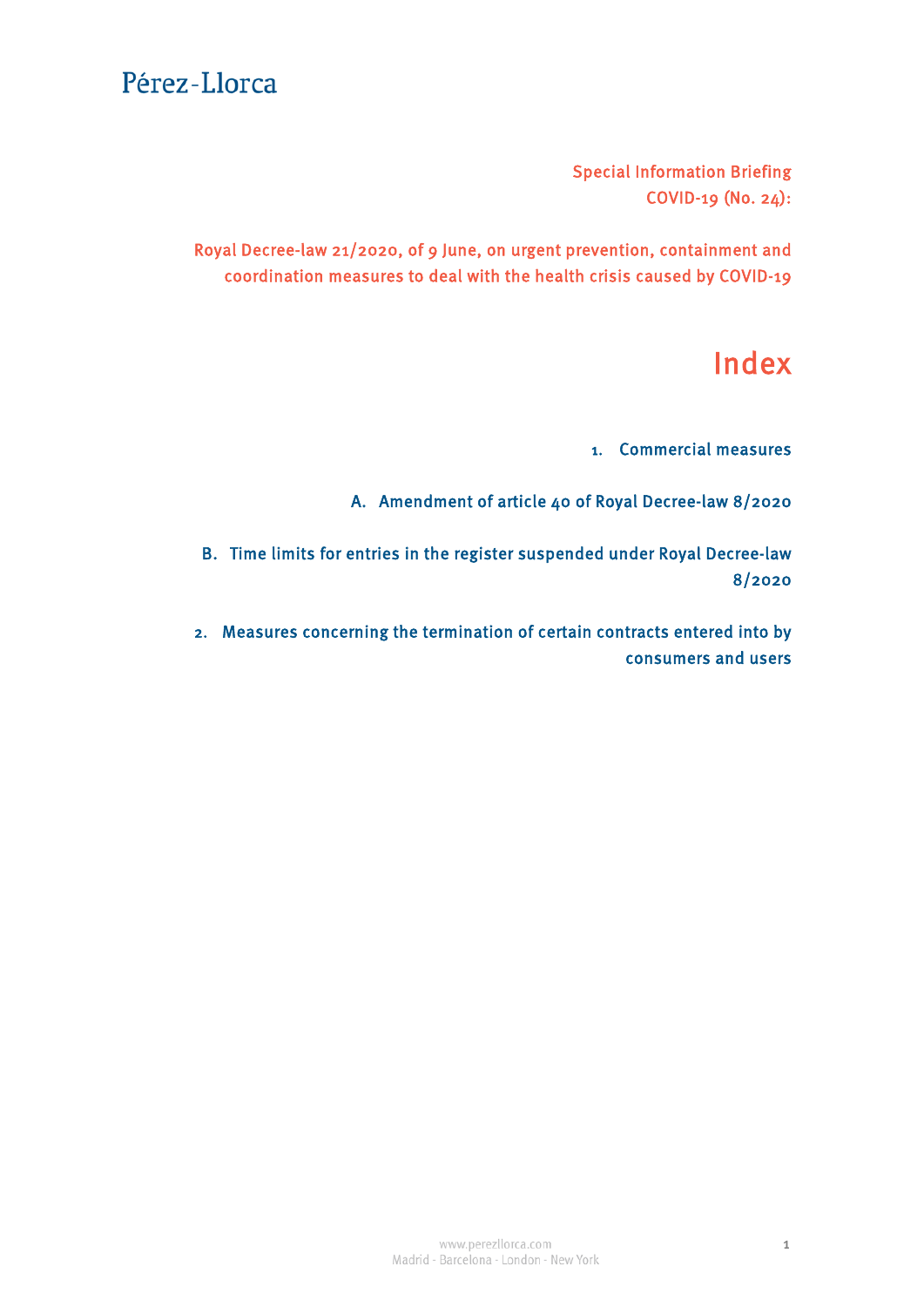Special Information Briefing COVID-19 (No. 24):

Royal Decree-law 21/2020, of 9 June, on urgent prevention, containment and coordination measures to deal with the health crisis caused by COVID-19

# Index

1. Commercial measures

A. [Amendment of article 40 of Royal Decree-law 8/2020](#page-1-0)

B. Time limits for entries in the register suspended under Royal Decree-law 8/2020

2. [Measures concerning the termination of certain contracts entered into by](#page-2-0) consumers and users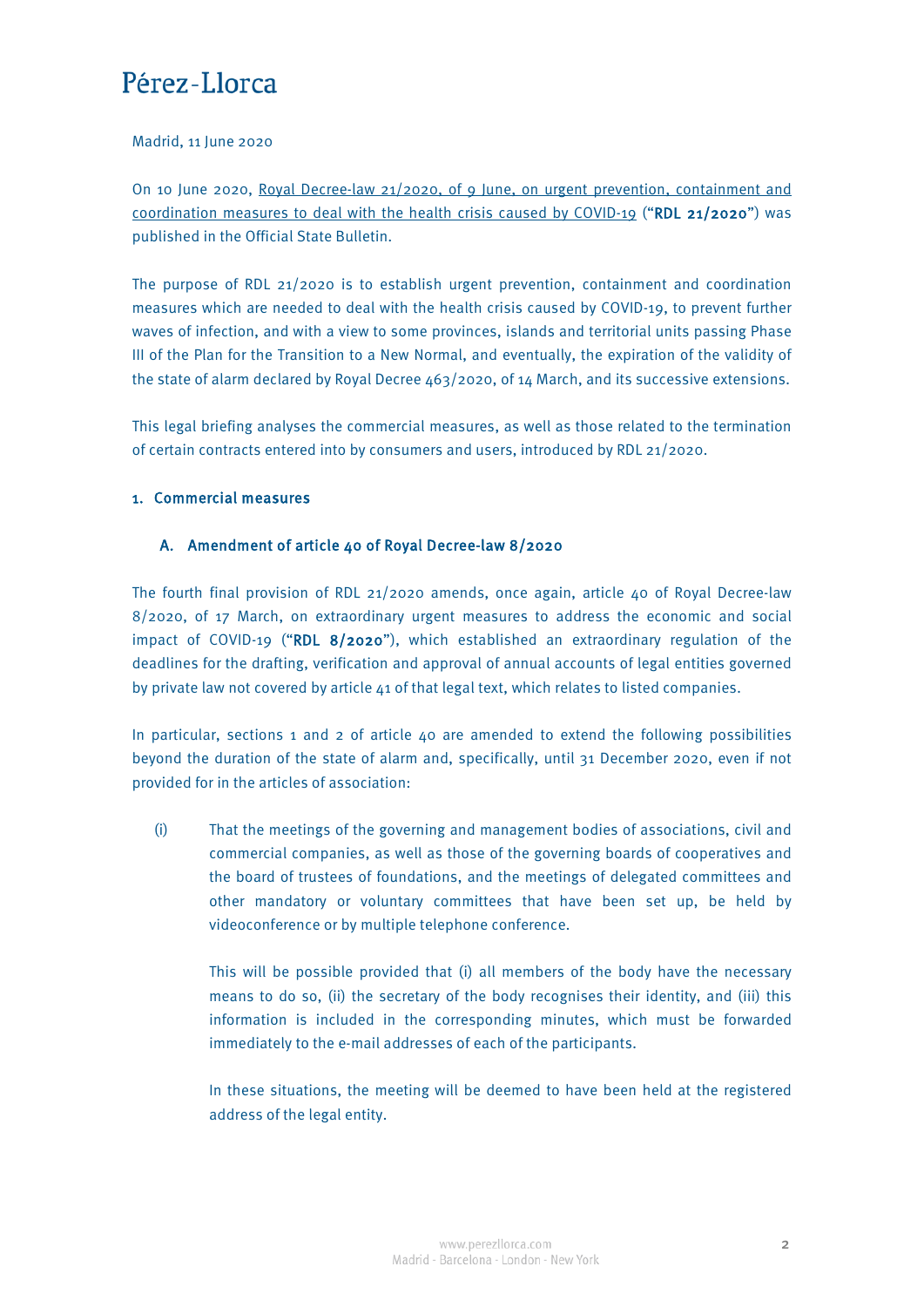#### <span id="page-1-0"></span>Madrid, 11 June 2020

On 10 June 2020, [Royal Decree-law 21/2020, of 9 June, on urgent prevention, containment and](https://www.boe.es/diario_boe/txt.php?id=BOE-A-2020-5895)  [coordination measures to deal with the health](https://www.boe.es/diario_boe/txt.php?id=BOE-A-2020-5895) crisis caused by COVID-19 ("RDL 21/2020") was published in the Official State Bulletin.

The purpose of RDL 21/2020 is to establish urgent prevention, containment and coordination measures which are needed to deal with the health crisis caused by COVID-19, to prevent further waves of infection, and with a view to some provinces, islands and territorial units passing Phase III of the Plan for the Transition to a New Normal, and eventually, the expiration of the validity of the state of alarm declared by Royal Decree 463/2020, of 14 March, and its successive extensions.

This legal briefing analyses the commercial measures, as well as those related to the termination of certain contracts entered into by consumers and users, introduced by RDL 21/2020.

### 1. Commercial measures

### A. Amendment of article 40 of Royal Decree-law 8/2020

The fourth final provision of RDL 21/2020 amends, once again, article 40 of Royal Decree-law 8/2020, of 17 March, on extraordinary urgent measures to address the economic and social impact of COVID-19 ("RDL 8/2020"), which established an extraordinary regulation of the deadlines for the drafting, verification and approval of annual accounts of legal entities governed by private law not covered by article 41 of that legal text, which relates to listed companies.

In particular, sections 1 and 2 of article  $40$  are amended to extend the following possibilities beyond the duration of the state of alarm and, specifically, until 31 December 2020, even if not provided for in the articles of association:

(i) That the meetings of the governing and management bodies of associations, civil and commercial companies, as well as those of the governing boards of cooperatives and the board of trustees of foundations, and the meetings of delegated committees and other mandatory or voluntary committees that have been set up, be held by videoconference or by multiple telephone conference.

This will be possible provided that (i) all members of the body have the necessary means to do so, (ii) the secretary of the body recognises their identity, and (iii) this information is included in the corresponding minutes, which must be forwarded immediately to the e-mail addresses of each of the participants.

In these situations, the meeting will be deemed to have been held at the registered address of the legal entity.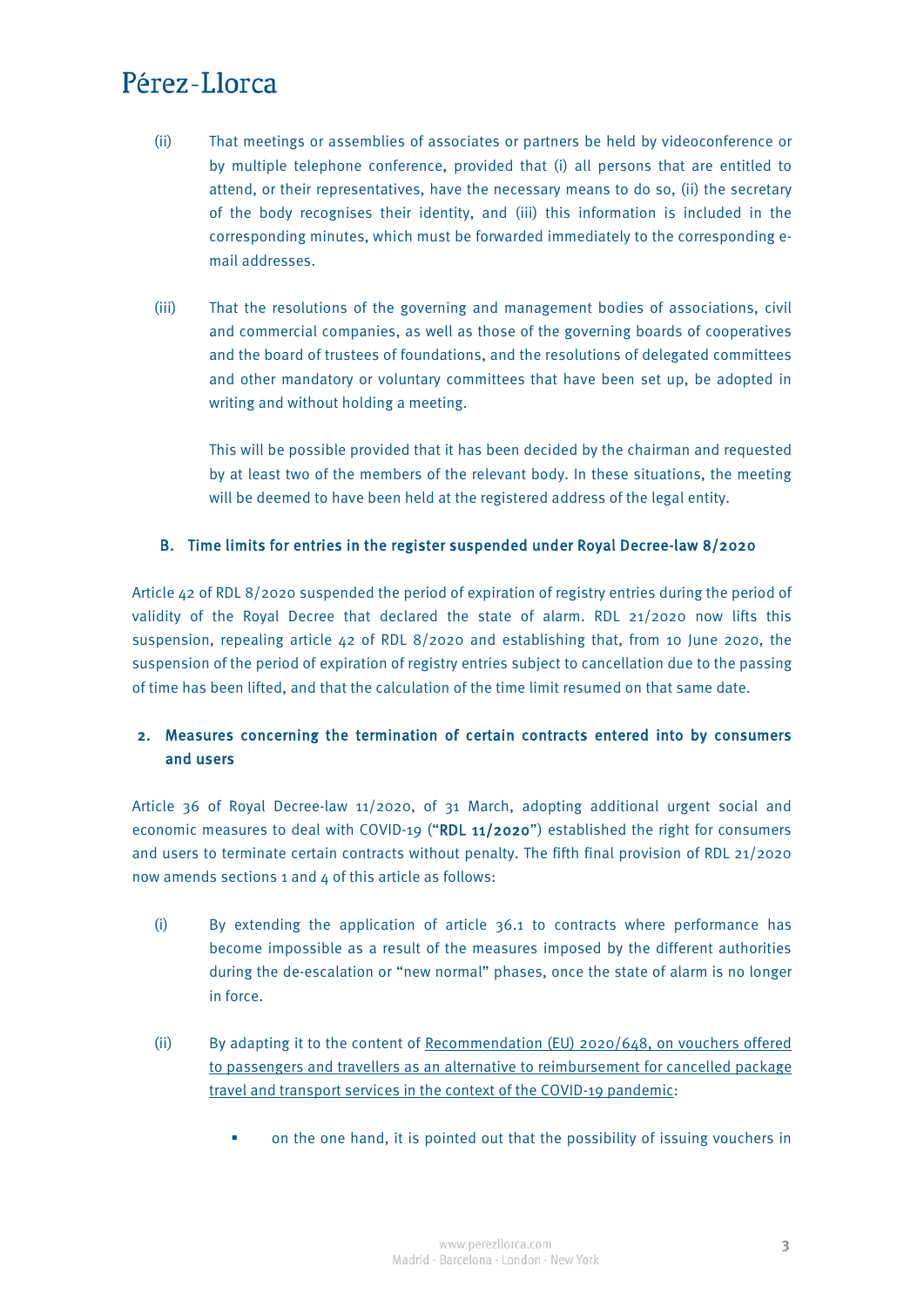- <span id="page-2-0"></span>(ii) That meetings or assemblies of associates or partners be held by videoconference or by multiple telephone conference, provided that (i) all persons that are entitled to attend, or their representatives, have the necessary means to do so, (ii) the secretary of the body recognises their identity, and (iii) this information is included in the corresponding minutes, which must be forwarded immediately to the corresponding email addresses.
- (iii) That the resolutions of the governing and management bodies of associations, civil and commercial companies, as well as those of the governing boards of cooperatives and the board of trustees of foundations, and the resolutions of delegated committees and other mandatory or voluntary committees that have been set up, be adopted in writing and without holding a meeting.

This will be possible provided that it has been decided by the chairman and requested by at least two of the members of the relevant body. In these situations, the meeting will be deemed to have been held at the registered address of the legal entity.

### B. Time limits for entries in the register suspended under Royal Decree-law 8/2020

Article 42 of RDL 8/2020 suspended the period of expiration of registry entries during the period of validity of the Royal Decree that declared the state of alarm. RDL 21/2020 now lifts this suspension, repealing article 42 of RDL 8/2020 and establishing that, from 10 June 2020, the suspension of the period of expiration of registry entries subject to cancellation due to the passing of time has been lifted, and that the calculation of the time limit resumed on that same date.

### 2. Measures concerning the termination of certain contracts entered into by consumers and users

Article 36 of Royal Decree-law 11/2020, of 31 March, adopting additional urgent social and economic measures to deal with COVID-19 ("RDL 11/2020") established the right for consumers and users to terminate certain contracts without penalty. The fifth final provision of RDL 21/2020 now amends sections 1 and 4 of this article as follows:

- (i) By extending the application of article 36.1 to contracts where performance has become impossible as a result of the measures imposed by the different authorities during the de-escalation or "new normal" phases, once the state of alarm is no longer in force.
- (ii) By adapting it to the content of [Recommendation \(EU\) 2020/648, on vouchers offered](https://eur-lex.europa.eu/legal-content/EN/TXT/PDF/?uri=CELEX:32020H0648&from=ES)  [to passengers and travellers as an alternative to reimbursement for cancelled package](https://eur-lex.europa.eu/legal-content/EN/TXT/PDF/?uri=CELEX:32020H0648&from=ES)  [travel and transport services in the context of the COVID-19 pandemic:](https://eur-lex.europa.eu/legal-content/EN/TXT/PDF/?uri=CELEX:32020H0648&from=ES)
	- on the one hand, it is pointed out that the possibility of issuing vouchers in